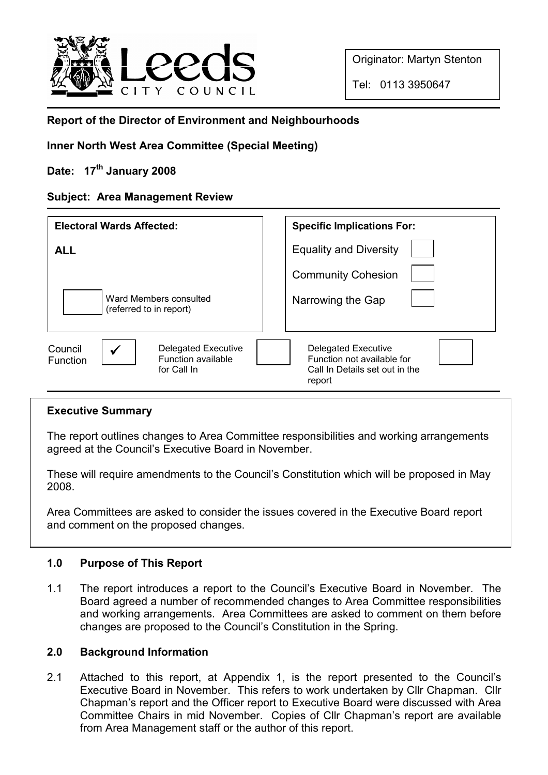

Tel: 0113 3950647

# Report of the Director of Environment and Neighbourhoods

### Inner North West Area Committee (Special Meeting)

# Date: 17<sup>th</sup> January 2008

#### Subject: Area Management Review

| <b>Electoral Wards Affected:</b>                                                              | <b>Specific Implications For:</b>                                                             |
|-----------------------------------------------------------------------------------------------|-----------------------------------------------------------------------------------------------|
| <b>ALL</b>                                                                                    | <b>Equality and Diversity</b>                                                                 |
|                                                                                               | <b>Community Cohesion</b>                                                                     |
| Ward Members consulted<br>(referred to in report)                                             | Narrowing the Gap                                                                             |
| <b>Delegated Executive</b><br>Council<br><b>Function available</b><br>Function<br>for Call In | Delegated Executive<br>Function not available for<br>Call In Details set out in the<br>report |

#### Executive Summary

The report outlines changes to Area Committee responsibilities and working arrangements agreed at the Council's Executive Board in November.

These will require amendments to the Council's Constitution which will be proposed in May 2008.

Area Committees are asked to consider the issues covered in the Executive Board report and comment on the proposed changes.

#### 1.0 Purpose of This Report

1.1 The report introduces a report to the Council's Executive Board in November. The Board agreed a number of recommended changes to Area Committee responsibilities and working arrangements. Area Committees are asked to comment on them before changes are proposed to the Council's Constitution in the Spring.

#### 2.0 Background Information

2.1 Attached to this report, at Appendix 1, is the report presented to the Council's Executive Board in November. This refers to work undertaken by Cllr Chapman. Cllr Chapman's report and the Officer report to Executive Board were discussed with Area Committee Chairs in mid November. Copies of Cllr Chapman's report are available from Area Management staff or the author of this report.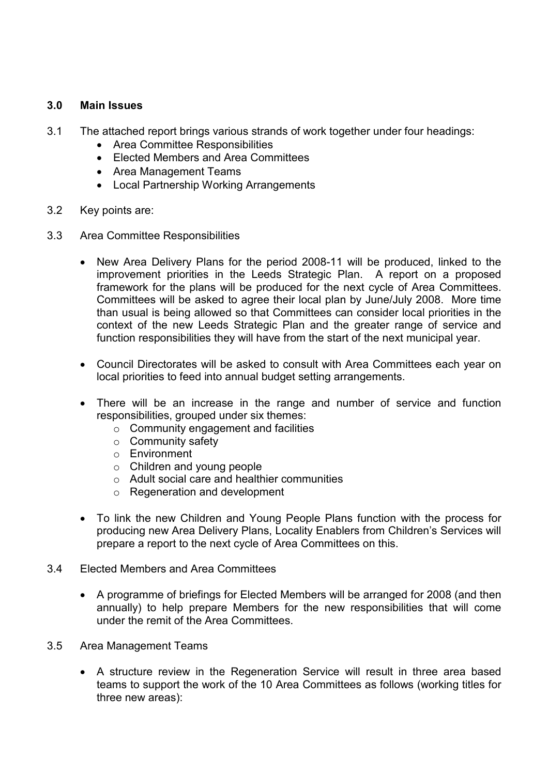# 3.0 Main Issues

- 3.1 The attached report brings various strands of work together under four headings:
	- Area Committee Responsibilities
	- Elected Members and Area Committees
	- Area Management Teams
	- Local Partnership Working Arrangements
- 3.2 Key points are:
- 3.3 Area Committee Responsibilities
	- New Area Delivery Plans for the period 2008-11 will be produced, linked to the improvement priorities in the Leeds Strategic Plan. A report on a proposed framework for the plans will be produced for the next cycle of Area Committees. Committees will be asked to agree their local plan by June/July 2008. More time than usual is being allowed so that Committees can consider local priorities in the context of the new Leeds Strategic Plan and the greater range of service and function responsibilities they will have from the start of the next municipal year.
	- Council Directorates will be asked to consult with Area Committees each year on local priorities to feed into annual budget setting arrangements.
	- There will be an increase in the range and number of service and function responsibilities, grouped under six themes:
		- $\circ$  Community engagement and facilities
		- o Community safety
		- o Environment
		- o Children and young people
		- o Adult social care and healthier communities
		- o Regeneration and development
	- To link the new Children and Young People Plans function with the process for producing new Area Delivery Plans, Locality Enablers from Children's Services will prepare a report to the next cycle of Area Committees on this.
- 3.4 Elected Members and Area Committees
	- A programme of briefings for Elected Members will be arranged for 2008 (and then annually) to help prepare Members for the new responsibilities that will come under the remit of the Area Committees.
- 3.5 Area Management Teams
	- A structure review in the Regeneration Service will result in three area based teams to support the work of the 10 Area Committees as follows (working titles for three new areas):